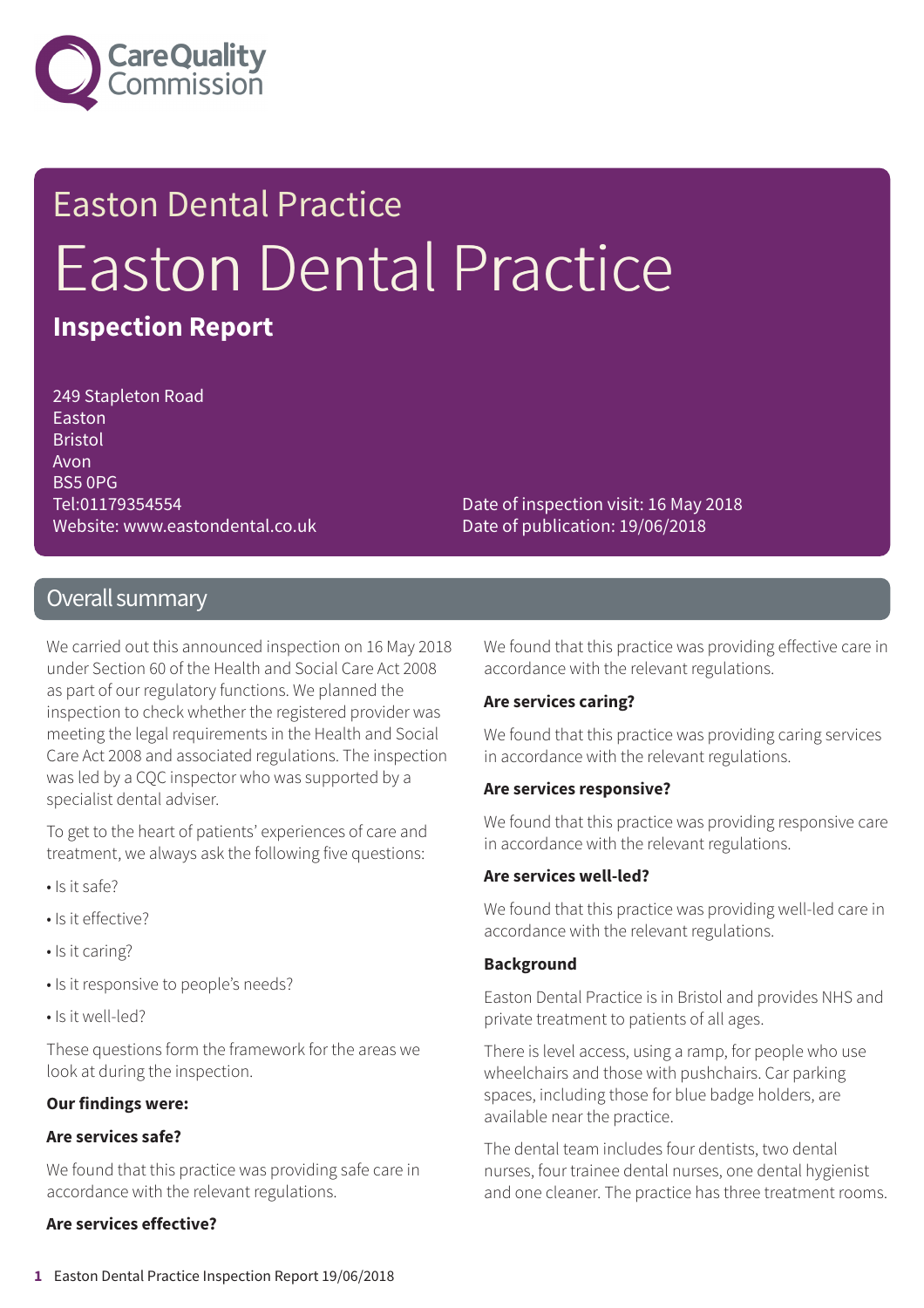

# Easton Dental Practice Easton Dental Practice **Inspection Report**

249 Stapleton Road Easton Bristol Avon BS5 0PG Tel:01179354554 Website: www.eastondental.co.uk

Date of inspection visit: 16 May 2018 Date of publication: 19/06/2018

# Overall summary

We carried out this announced inspection on 16 May 2018 under Section 60 of the Health and Social Care Act 2008 as part of our regulatory functions. We planned the inspection to check whether the registered provider was meeting the legal requirements in the Health and Social Care Act 2008 and associated regulations. The inspection was led by a CQC inspector who was supported by a specialist dental adviser.

To get to the heart of patients' experiences of care and treatment, we always ask the following five questions:

- Is it safe?
- Is it effective?
- Is it caring?
- Is it responsive to people's needs?
- Is it well-led?

These questions form the framework for the areas we look at during the inspection.

### **Our findings were:**

### **Are services safe?**

We found that this practice was providing safe care in accordance with the relevant regulations.

### **Are services effective?**

We found that this practice was providing effective care in accordance with the relevant regulations.

#### **Are services caring?**

We found that this practice was providing caring services in accordance with the relevant regulations.

#### **Are services responsive?**

We found that this practice was providing responsive care in accordance with the relevant regulations.

#### **Are services well-led?**

We found that this practice was providing well-led care in accordance with the relevant regulations.

### **Background**

Easton Dental Practice is in Bristol and provides NHS and private treatment to patients of all ages.

There is level access, using a ramp, for people who use wheelchairs and those with pushchairs. Car parking spaces, including those for blue badge holders, are available near the practice.

The dental team includes four dentists, two dental nurses, four trainee dental nurses, one dental hygienist and one cleaner. The practice has three treatment rooms.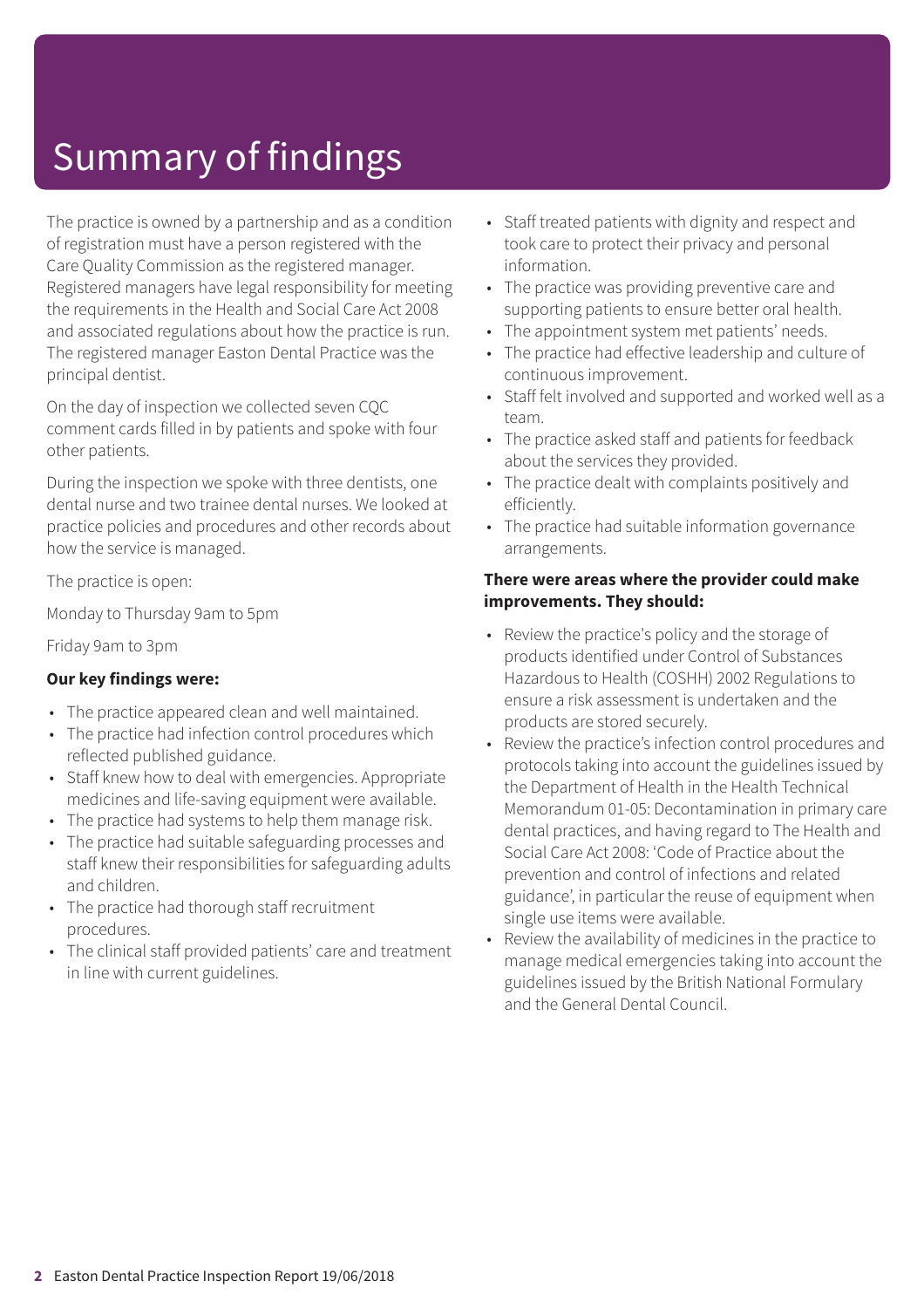# Summary of findings

The practice is owned by a partnership and as a condition of registration must have a person registered with the Care Quality Commission as the registered manager. Registered managers have legal responsibility for meeting the requirements in the Health and Social Care Act 2008 and associated regulations about how the practice is run. The registered manager Easton Dental Practice was the principal dentist.

On the day of inspection we collected seven CQC comment cards filled in by patients and spoke with four other patients.

During the inspection we spoke with three dentists, one dental nurse and two trainee dental nurses. We looked at practice policies and procedures and other records about how the service is managed.

The practice is open:

Monday to Thursday 9am to 5pm

Friday 9am to 3pm

## **Our key findings were:**

- The practice appeared clean and well maintained.
- The practice had infection control procedures which reflected published guidance.
- Staff knew how to deal with emergencies. Appropriate medicines and life-saving equipment were available.
- The practice had systems to help them manage risk.
- The practice had suitable safeguarding processes and staff knew their responsibilities for safeguarding adults and children.
- The practice had thorough staff recruitment procedures.
- The clinical staff provided patients' care and treatment in line with current guidelines.
- Staff treated patients with dignity and respect and took care to protect their privacy and personal information.
- The practice was providing preventive care and supporting patients to ensure better oral health.
- The appointment system met patients' needs.
- The practice had effective leadership and culture of continuous improvement.
- Staff felt involved and supported and worked well as a team.
- The practice asked staff and patients for feedback about the services they provided.
- The practice dealt with complaints positively and efficiently.
- The practice had suitable information governance arrangements.

### **There were areas where the provider could make improvements. They should:**

- Review the practice's policy and the storage of products identified under Control of Substances Hazardous to Health (COSHH) 2002 Regulations to ensure a risk assessment is undertaken and the products are stored securely.
- Review the practice's infection control procedures and protocols taking into account the guidelines issued by the Department of Health in the Health Technical Memorandum 01-05: Decontamination in primary care dental practices, and having regard to The Health and Social Care Act 2008: 'Code of Practice about the prevention and control of infections and related guidance', in particular the reuse of equipment when single use items were available.
- Review the availability of medicines in the practice to manage medical emergencies taking into account the guidelines issued by the British National Formulary and the General Dental Council.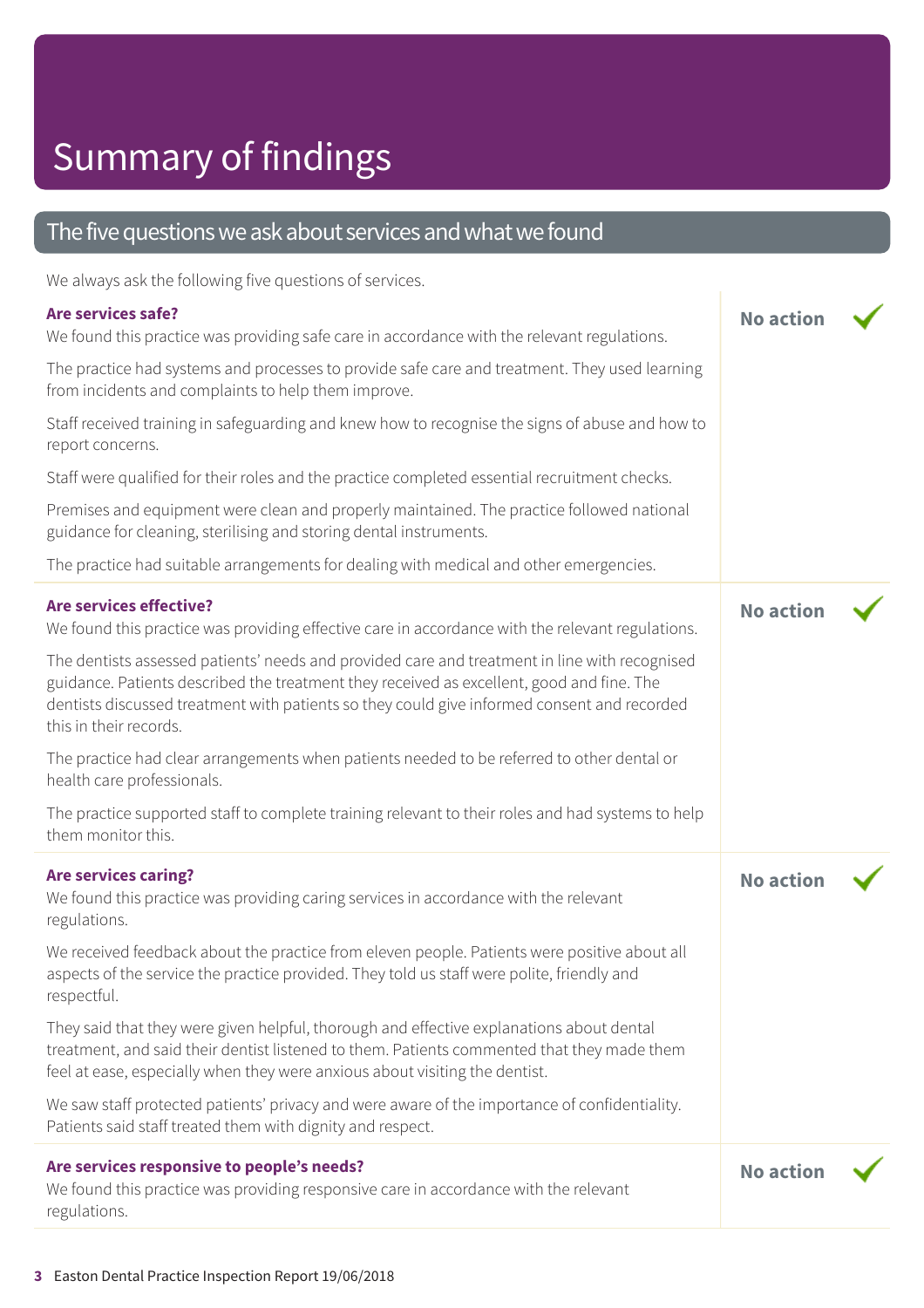# Summary of findings

# The five questions we ask about services and what we found

We always ask the following five questions of services.

# **Are services safe?** We found this practice was providing safe care in accordance with the relevant regulations. The practice had systems and processes to provide safe care and treatment. They used learning from incidents and complaints to help them improve. Staff received training in safeguarding and knew how to recognise the signs of abuse and how to report concerns. Staff were qualified for their roles and the practice completed essential recruitment checks. Premises and equipment were clean and properly maintained. The practice followed national guidance for cleaning, sterilising and storing dental instruments. The practice had suitable arrangements for dealing with medical and other emergencies. **No action Are services effective?** We found this practice was providing effective care in accordance with the relevant regulations. The dentists assessed patients' needs and provided care and treatment in line with recognised guidance. Patients described the treatment they received as excellent, good and fine. The dentists discussed treatment with patients so they could give informed consent and recorded this in their records. The practice had clear arrangements when patients needed to be referred to other dental or health care professionals. The practice supported staff to complete training relevant to their roles and had systems to help them monitor this. **No action Are services caring?** We found this practice was providing caring services in accordance with the relevant regulations. We received feedback about the practice from eleven people. Patients were positive about all aspects of the service the practice provided. They told us staff were polite, friendly and respectful. They said that they were given helpful, thorough and effective explanations about dental treatment, and said their dentist listened to them. Patients commented that they made them feel at ease, especially when they were anxious about visiting the dentist. We saw staff protected patients' privacy and were aware of the importance of confidentiality. Patients said staff treated them with dignity and respect. **No action Are services responsive to people's needs?** We found this practice was providing responsive care in accordance with the relevant regulations. **No action**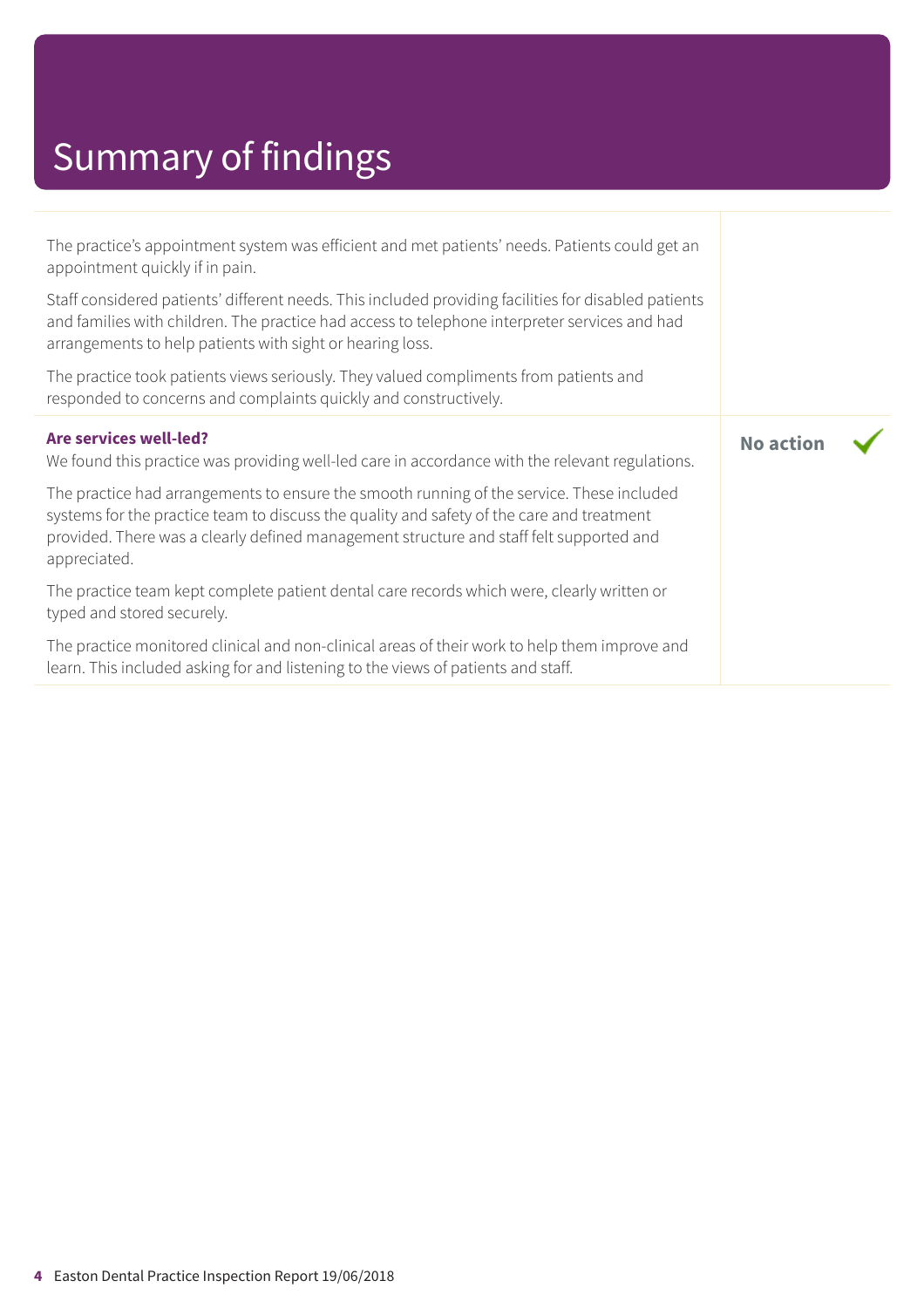# Summary of findings

| The practice's appointment system was efficient and met patients' needs. Patients could get an<br>appointment quickly if in pain.<br>Staff considered patients' different needs. This included providing facilities for disabled patients<br>and families with children. The practice had access to telephone interpreter services and had<br>arrangements to help patients with sight or hearing loss.<br>The practice took patients views seriously. They valued compliments from patients and<br>responded to concerns and complaints quickly and constructively. |                  |
|----------------------------------------------------------------------------------------------------------------------------------------------------------------------------------------------------------------------------------------------------------------------------------------------------------------------------------------------------------------------------------------------------------------------------------------------------------------------------------------------------------------------------------------------------------------------|------------------|
| Are services well-led?<br>We found this practice was providing well-led care in accordance with the relevant regulations.<br>The practice had arrangements to ensure the smooth running of the service. These included<br>systems for the practice team to discuss the quality and safety of the care and treatment<br>provided. There was a clearly defined management structure and staff felt supported and<br>appreciated.                                                                                                                                       | <b>No action</b> |
| The practice team kept complete patient dental care records which were, clearly written or<br>typed and stored securely.                                                                                                                                                                                                                                                                                                                                                                                                                                             |                  |
| The practice monitored clinical and non-clinical areas of their work to help them improve and<br>learn. This included asking for and listening to the views of patients and staff.                                                                                                                                                                                                                                                                                                                                                                                   |                  |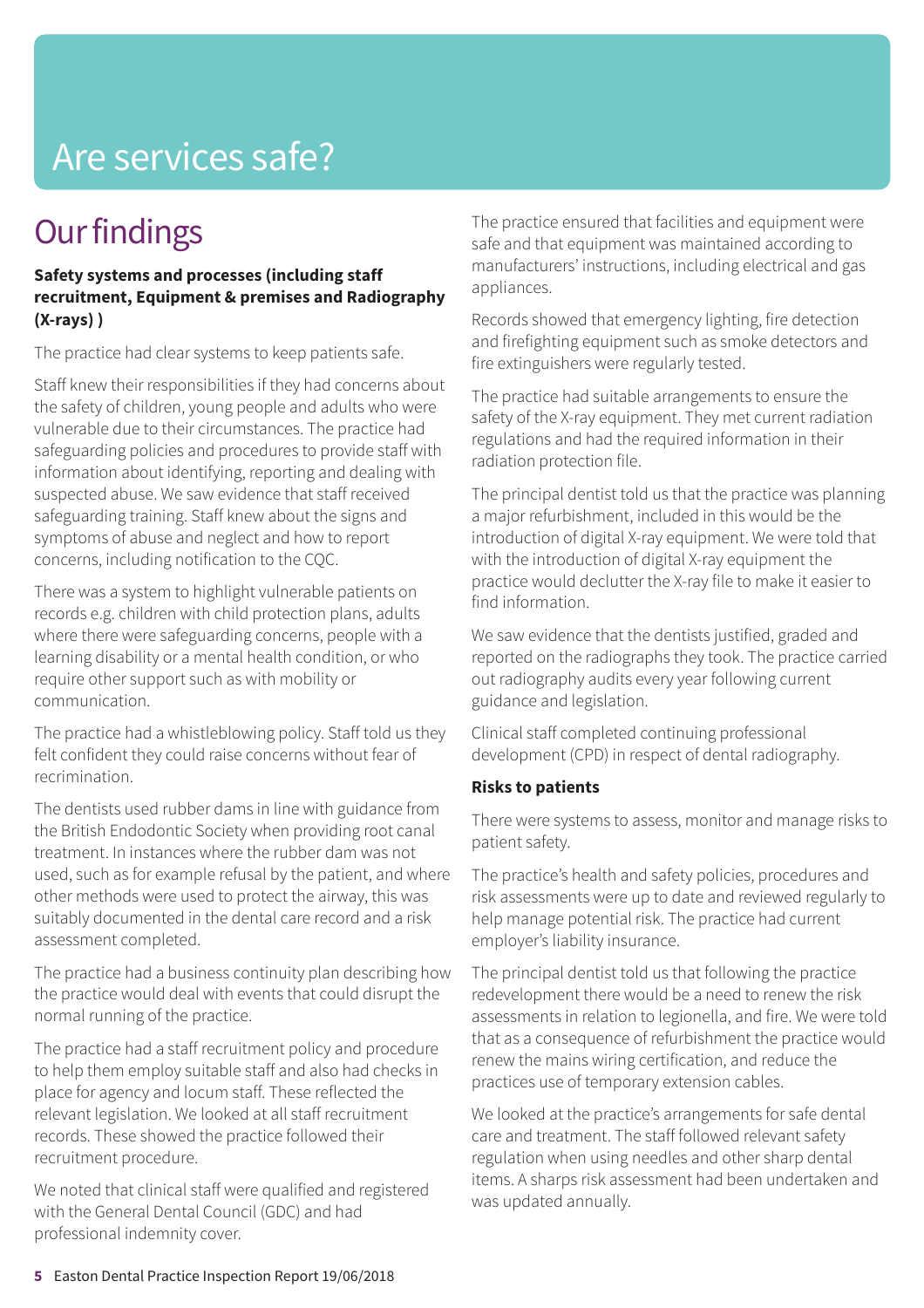# Are services safe?

# **Our findings**

### **Safety systems and processes (including staff recruitment, Equipment & premises and Radiography (X-rays) )**

The practice had clear systems to keep patients safe.

Staff knew their responsibilities if they had concerns about the safety of children, young people and adults who were vulnerable due to their circumstances. The practice had safeguarding policies and procedures to provide staff with information about identifying, reporting and dealing with suspected abuse. We saw evidence that staff received safeguarding training. Staff knew about the signs and symptoms of abuse and neglect and how to report concerns, including notification to the CQC.

There was a system to highlight vulnerable patients on records e.g. children with child protection plans, adults where there were safeguarding concerns, people with a learning disability or a mental health condition, or who require other support such as with mobility or communication.

The practice had a whistleblowing policy. Staff told us they felt confident they could raise concerns without fear of recrimination.

The dentists used rubber dams in line with guidance from the British Endodontic Society when providing root canal treatment. In instances where the rubber dam was not used, such as for example refusal by the patient, and where other methods were used to protect the airway, this was suitably documented in the dental care record and a risk assessment completed.

The practice had a business continuity plan describing how the practice would deal with events that could disrupt the normal running of the practice.

The practice had a staff recruitment policy and procedure to help them employ suitable staff and also had checks in place for agency and locum staff. These reflected the relevant legislation. We looked at all staff recruitment records. These showed the practice followed their recruitment procedure.

We noted that clinical staff were qualified and registered with the General Dental Council (GDC) and had professional indemnity cover.

The practice ensured that facilities and equipment were safe and that equipment was maintained according to manufacturers' instructions, including electrical and gas appliances.

Records showed that emergency lighting, fire detection and firefighting equipment such as smoke detectors and fire extinguishers were regularly tested.

The practice had suitable arrangements to ensure the safety of the X-ray equipment. They met current radiation regulations and had the required information in their radiation protection file.

The principal dentist told us that the practice was planning a major refurbishment, included in this would be the introduction of digital X-ray equipment. We were told that with the introduction of digital X-ray equipment the practice would declutter the X-ray file to make it easier to find information.

We saw evidence that the dentists justified, graded and reported on the radiographs they took. The practice carried out radiography audits every year following current guidance and legislation.

Clinical staff completed continuing professional development (CPD) in respect of dental radiography.

## **Risks to patients**

There were systems to assess, monitor and manage risks to patient safety.

The practice's health and safety policies, procedures and risk assessments were up to date and reviewed regularly to help manage potential risk. The practice had current employer's liability insurance.

The principal dentist told us that following the practice redevelopment there would be a need to renew the risk assessments in relation to legionella, and fire. We were told that as a consequence of refurbishment the practice would renew the mains wiring certification, and reduce the practices use of temporary extension cables.

We looked at the practice's arrangements for safe dental care and treatment. The staff followed relevant safety regulation when using needles and other sharp dental items. A sharps risk assessment had been undertaken and was updated annually.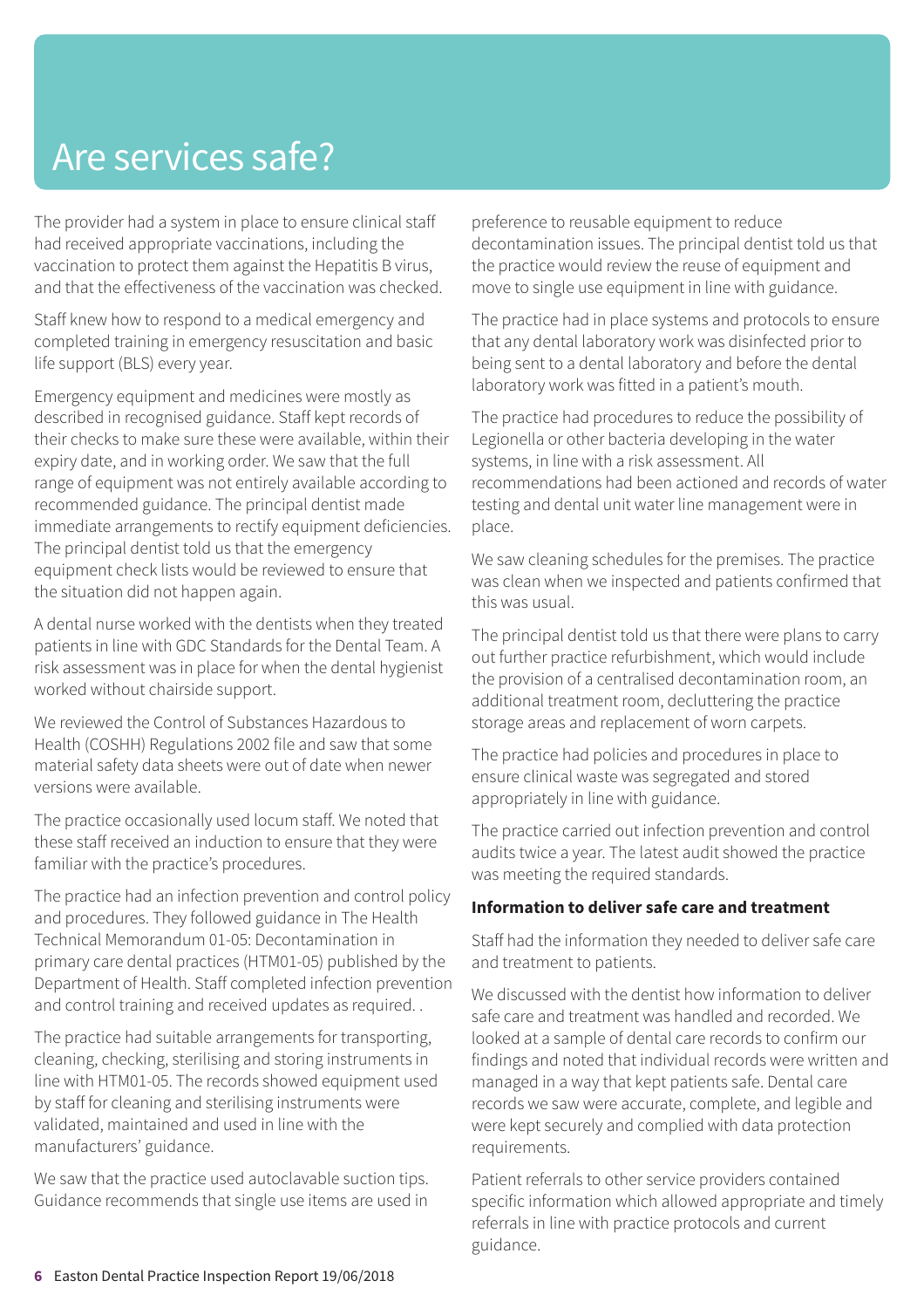# Are services safe?

The provider had a system in place to ensure clinical staff had received appropriate vaccinations, including the vaccination to protect them against the Hepatitis B virus, and that the effectiveness of the vaccination was checked.

Staff knew how to respond to a medical emergency and completed training in emergency resuscitation and basic life support (BLS) every year.

Emergency equipment and medicines were mostly as described in recognised guidance. Staff kept records of their checks to make sure these were available, within their expiry date, and in working order. We saw that the full range of equipment was not entirely available according to recommended guidance. The principal dentist made immediate arrangements to rectify equipment deficiencies. The principal dentist told us that the emergency equipment check lists would be reviewed to ensure that the situation did not happen again.

A dental nurse worked with the dentists when they treated patients in line with GDC Standards for the Dental Team. A risk assessment was in place for when the dental hygienist worked without chairside support.

We reviewed the Control of Substances Hazardous to Health (COSHH) Regulations 2002 file and saw that some material safety data sheets were out of date when newer versions were available.

The practice occasionally used locum staff. We noted that these staff received an induction to ensure that they were familiar with the practice's procedures.

The practice had an infection prevention and control policy and procedures. They followed guidance in The Health Technical Memorandum 01-05: Decontamination in primary care dental practices (HTM01-05) published by the Department of Health. Staff completed infection prevention and control training and received updates as required. .

The practice had suitable arrangements for transporting, cleaning, checking, sterilising and storing instruments in line with HTM01-05. The records showed equipment used by staff for cleaning and sterilising instruments were validated, maintained and used in line with the manufacturers' guidance.

We saw that the practice used autoclavable suction tips. Guidance recommends that single use items are used in

preference to reusable equipment to reduce decontamination issues. The principal dentist told us that the practice would review the reuse of equipment and move to single use equipment in line with guidance.

The practice had in place systems and protocols to ensure that any dental laboratory work was disinfected prior to being sent to a dental laboratory and before the dental laboratory work was fitted in a patient's mouth.

The practice had procedures to reduce the possibility of Legionella or other bacteria developing in the water systems, in line with a risk assessment. All recommendations had been actioned and records of water testing and dental unit water line management were in place.

We saw cleaning schedules for the premises. The practice was clean when we inspected and patients confirmed that this was usual.

The principal dentist told us that there were plans to carry out further practice refurbishment, which would include the provision of a centralised decontamination room, an additional treatment room, decluttering the practice storage areas and replacement of worn carpets.

The practice had policies and procedures in place to ensure clinical waste was segregated and stored appropriately in line with guidance.

The practice carried out infection prevention and control audits twice a year. The latest audit showed the practice was meeting the required standards.

### **Information to deliver safe care and treatment**

Staff had the information they needed to deliver safe care and treatment to patients.

We discussed with the dentist how information to deliver safe care and treatment was handled and recorded. We looked at a sample of dental care records to confirm our findings and noted that individual records were written and managed in a way that kept patients safe. Dental care records we saw were accurate, complete, and legible and were kept securely and complied with data protection requirements.

Patient referrals to other service providers contained specific information which allowed appropriate and timely referrals in line with practice protocols and current guidance.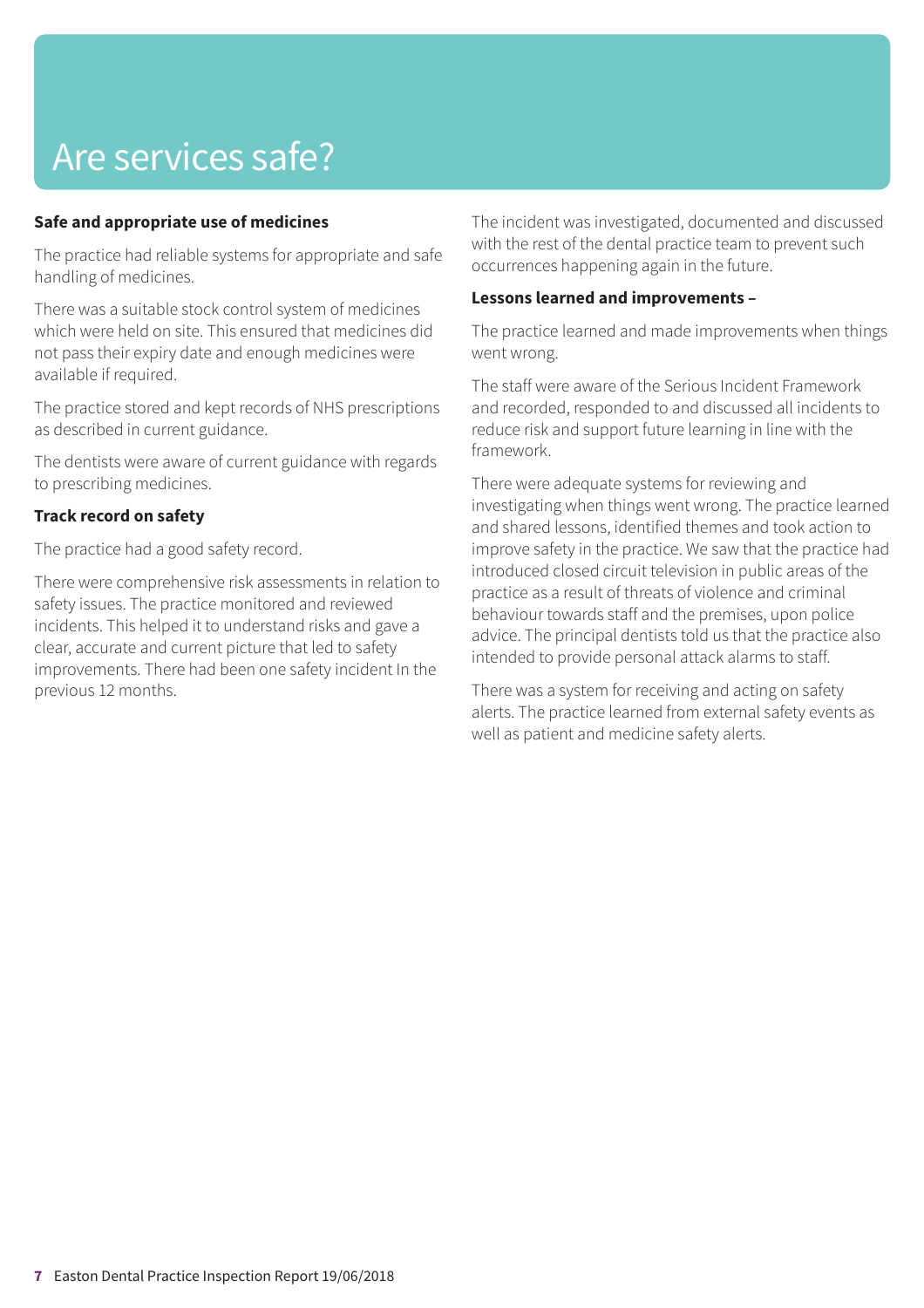# Are services safe?

## **Safe and appropriate use of medicines**

The practice had reliable systems for appropriate and safe handling of medicines.

There was a suitable stock control system of medicines which were held on site. This ensured that medicines did not pass their expiry date and enough medicines were available if required.

The practice stored and kept records of NHS prescriptions as described in current guidance.

The dentists were aware of current guidance with regards to prescribing medicines.

## **Track record on safety**

The practice had a good safety record.

There were comprehensive risk assessments in relation to safety issues. The practice monitored and reviewed incidents. This helped it to understand risks and gave a clear, accurate and current picture that led to safety improvements. There had been one safety incident In the previous 12 months.

The incident was investigated, documented and discussed with the rest of the dental practice team to prevent such occurrences happening again in the future.

### **Lessons learned and improvements –**

The practice learned and made improvements when things went wrong.

The staff were aware of the Serious Incident Framework and recorded, responded to and discussed all incidents to reduce risk and support future learning in line with the framework.

There were adequate systems for reviewing and investigating when things went wrong. The practice learned and shared lessons, identified themes and took action to improve safety in the practice. We saw that the practice had introduced closed circuit television in public areas of the practice as a result of threats of violence and criminal behaviour towards staff and the premises, upon police advice. The principal dentists told us that the practice also intended to provide personal attack alarms to staff.

There was a system for receiving and acting on safety alerts. The practice learned from external safety events as well as patient and medicine safety alerts.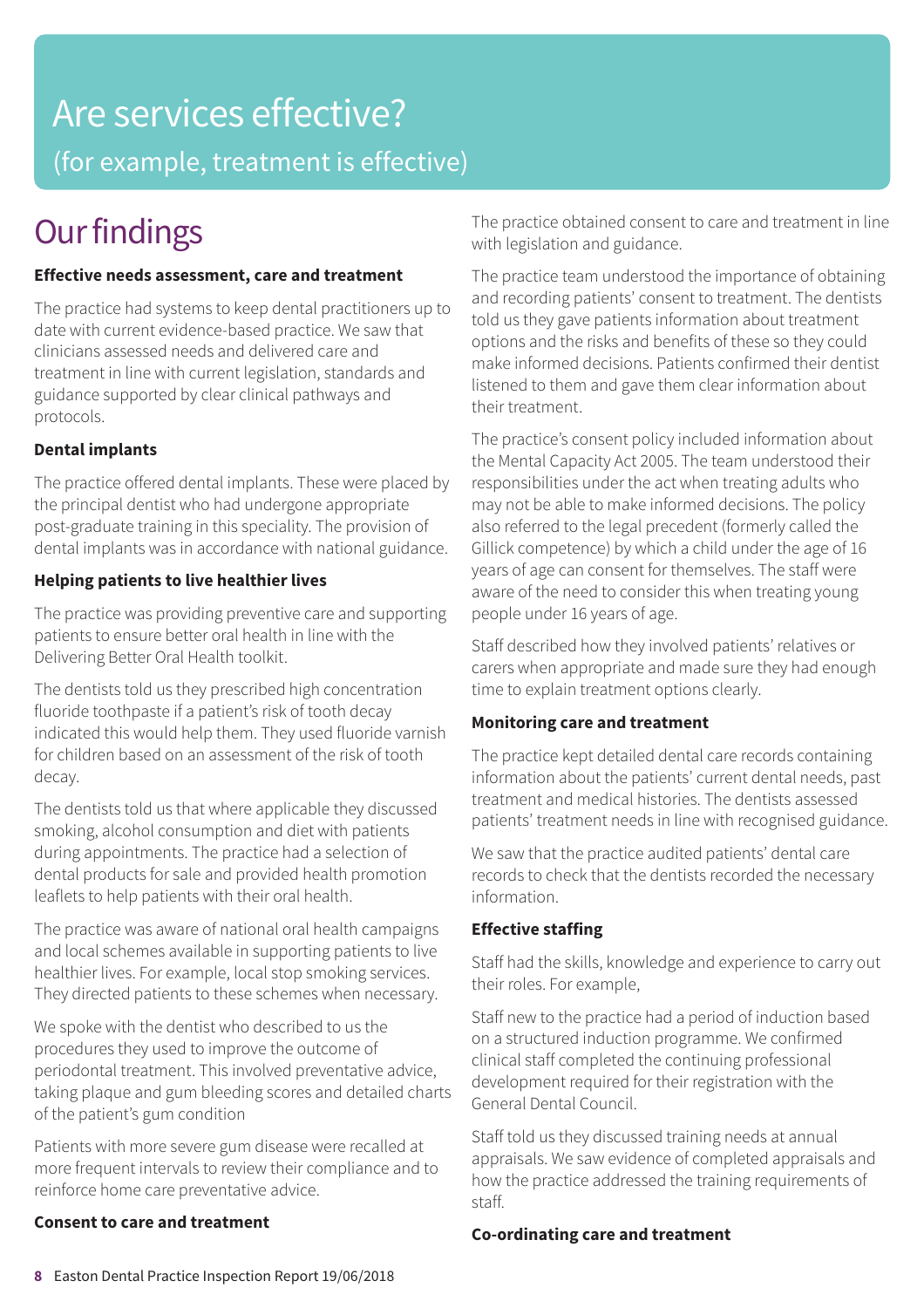# Are services effective?

(for example, treatment is effective)

# **Our findings**

# **Effective needs assessment, care and treatment**

The practice had systems to keep dental practitioners up to date with current evidence-based practice. We saw that clinicians assessed needs and delivered care and treatment in line with current legislation, standards and guidance supported by clear clinical pathways and protocols.

# **Dental implants**

The practice offered dental implants. These were placed by the principal dentist who had undergone appropriate post-graduate training in this speciality. The provision of dental implants was in accordance with national guidance.

# **Helping patients to live healthier lives**

The practice was providing preventive care and supporting patients to ensure better oral health in line with the Delivering Better Oral Health toolkit.

The dentists told us they prescribed high concentration fluoride toothpaste if a patient's risk of tooth decay indicated this would help them. They used fluoride varnish for children based on an assessment of the risk of tooth decay.

The dentists told us that where applicable they discussed smoking, alcohol consumption and diet with patients during appointments. The practice had a selection of dental products for sale and provided health promotion leaflets to help patients with their oral health.

The practice was aware of national oral health campaigns and local schemes available in supporting patients to live healthier lives. For example, local stop smoking services. They directed patients to these schemes when necessary.

We spoke with the dentist who described to us the procedures they used to improve the outcome of periodontal treatment. This involved preventative advice, taking plaque and gum bleeding scores and detailed charts of the patient's gum condition

Patients with more severe gum disease were recalled at more frequent intervals to review their compliance and to reinforce home care preventative advice.

# **Consent to care and treatment**

The practice obtained consent to care and treatment in line with legislation and guidance.

The practice team understood the importance of obtaining and recording patients' consent to treatment. The dentists told us they gave patients information about treatment options and the risks and benefits of these so they could make informed decisions. Patients confirmed their dentist listened to them and gave them clear information about their treatment.

The practice's consent policy included information about the Mental Capacity Act 2005. The team understood their responsibilities under the act when treating adults who may not be able to make informed decisions. The policy also referred to the legal precedent (formerly called the Gillick competence) by which a child under the age of 16 years of age can consent for themselves. The staff were aware of the need to consider this when treating young people under 16 years of age.

Staff described how they involved patients' relatives or carers when appropriate and made sure they had enough time to explain treatment options clearly.

# **Monitoring care and treatment**

The practice kept detailed dental care records containing information about the patients' current dental needs, past treatment and medical histories. The dentists assessed patients' treatment needs in line with recognised guidance.

We saw that the practice audited patients' dental care records to check that the dentists recorded the necessary information.

# **Effective staffing**

Staff had the skills, knowledge and experience to carry out their roles. For example,

Staff new to the practice had a period of induction based on a structured induction programme. We confirmed clinical staff completed the continuing professional development required for their registration with the General Dental Council.

Staff told us they discussed training needs at annual appraisals. We saw evidence of completed appraisals and how the practice addressed the training requirements of staff.

# **Co-ordinating care and treatment**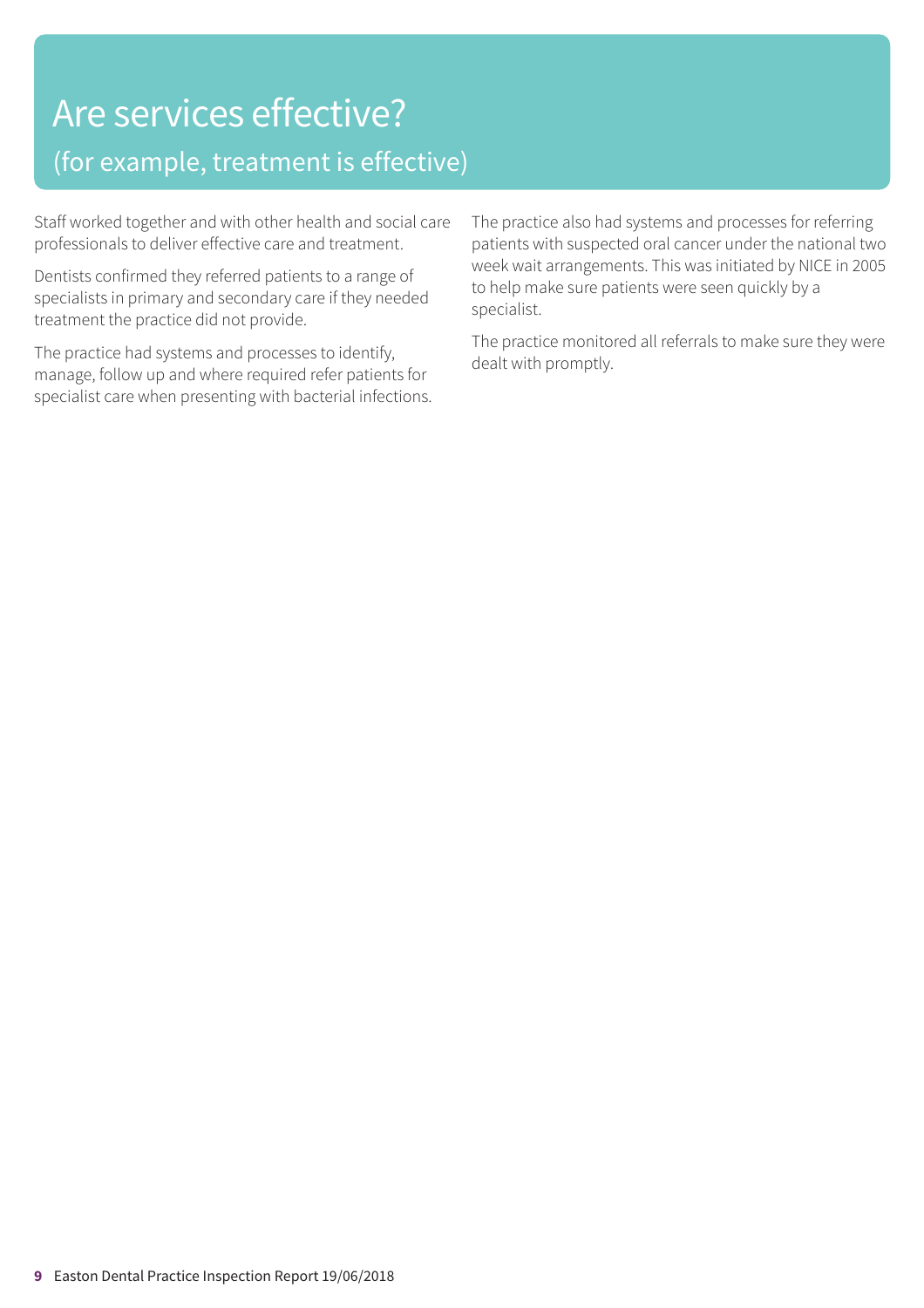# Are services effective?

# (for example, treatment is effective)

Staff worked together and with other health and social care professionals to deliver effective care and treatment.

Dentists confirmed they referred patients to a range of specialists in primary and secondary care if they needed treatment the practice did not provide.

The practice had systems and processes to identify, manage, follow up and where required refer patients for specialist care when presenting with bacterial infections. The practice also had systems and processes for referring patients with suspected oral cancer under the national two week wait arrangements. This was initiated by NICE in 2005 to help make sure patients were seen quickly by a specialist.

The practice monitored all referrals to make sure they were dealt with promptly.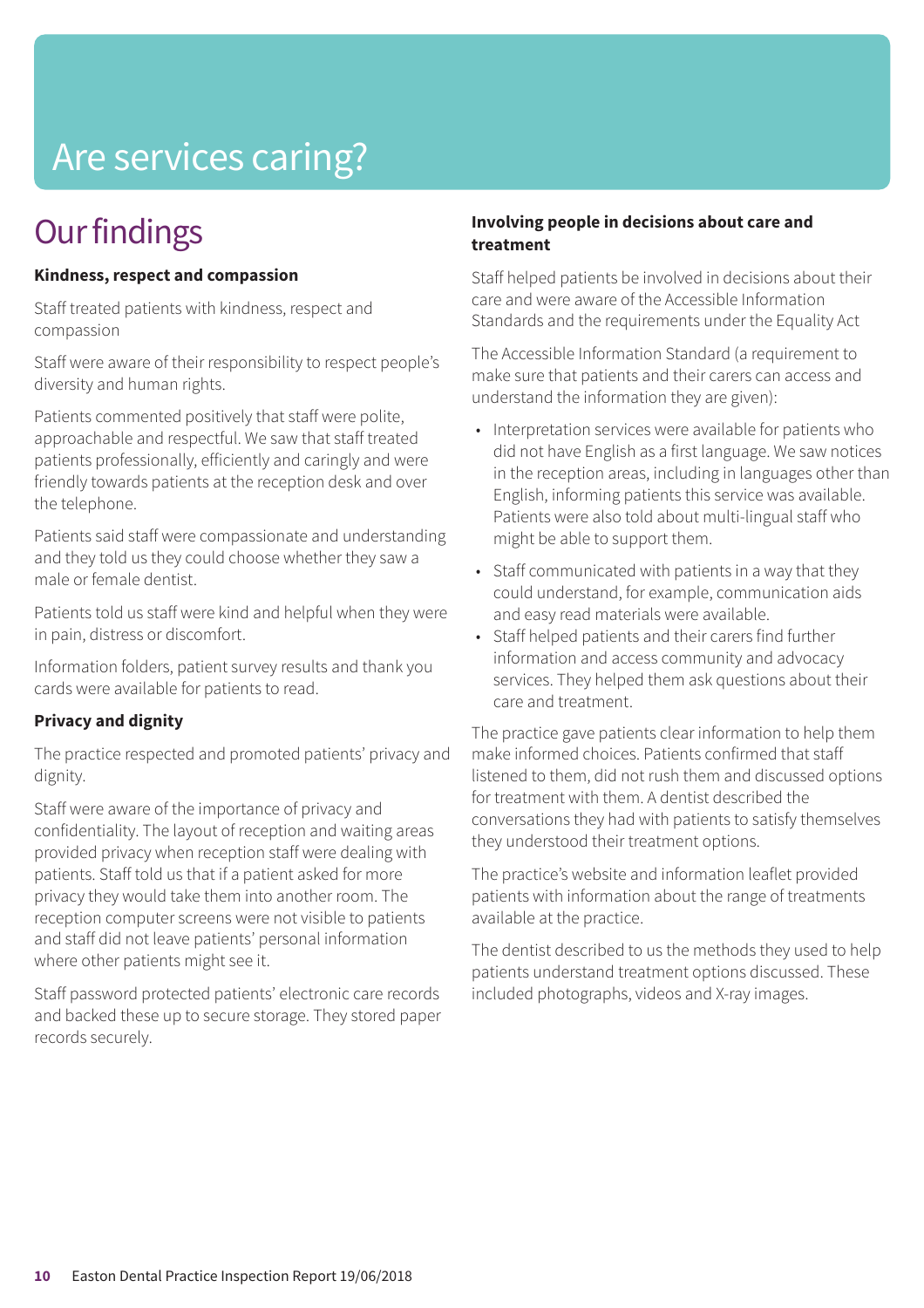# Are services caring?

# **Our findings**

### **Kindness, respect and compassion**

Staff treated patients with kindness, respect and compassion

Staff were aware of their responsibility to respect people's diversity and human rights.

Patients commented positively that staff were polite, approachable and respectful. We saw that staff treated patients professionally, efficiently and caringly and were friendly towards patients at the reception desk and over the telephone.

Patients said staff were compassionate and understanding and they told us they could choose whether they saw a male or female dentist.

Patients told us staff were kind and helpful when they were in pain, distress or discomfort.

Information folders, patient survey results and thank you cards were available for patients to read.

## **Privacy and dignity**

The practice respected and promoted patients' privacy and dignity.

Staff were aware of the importance of privacy and confidentiality. The layout of reception and waiting areas provided privacy when reception staff were dealing with patients. Staff told us that if a patient asked for more privacy they would take them into another room. The reception computer screens were not visible to patients and staff did not leave patients' personal information where other patients might see it.

Staff password protected patients' electronic care records and backed these up to secure storage. They stored paper records securely.

## **Involving people in decisions about care and treatment**

Staff helped patients be involved in decisions about their care and were aware of the Accessible Information Standards and the requirements under the Equality Act

The Accessible Information Standard (a requirement to make sure that patients and their carers can access and understand the information they are given):

- Interpretation services were available for patients who did not have English as a first language. We saw notices in the reception areas, including in languages other than English, informing patients this service was available. Patients were also told about multi-lingual staff who might be able to support them.
- Staff communicated with patients in a way that they could understand, for example, communication aids and easy read materials were available.
- Staff helped patients and their carers find further information and access community and advocacy services. They helped them ask questions about their care and treatment.

The practice gave patients clear information to help them make informed choices. Patients confirmed that staff listened to them, did not rush them and discussed options for treatment with them. A dentist described the conversations they had with patients to satisfy themselves they understood their treatment options.

The practice's website and information leaflet provided patients with information about the range of treatments available at the practice.

The dentist described to us the methods they used to help patients understand treatment options discussed. These included photographs, videos and X-ray images.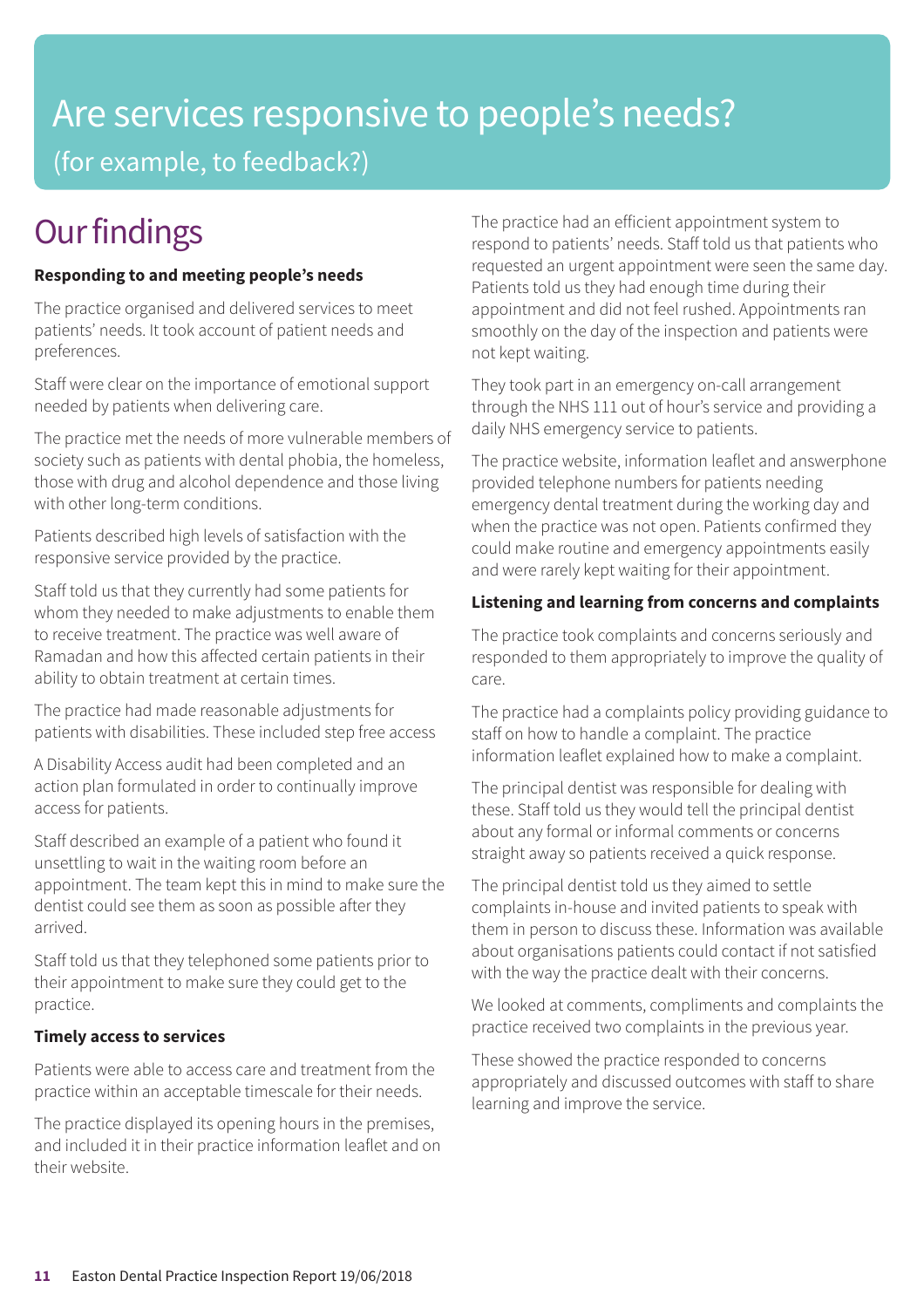# Are services responsive to people's needs? (for example, to feedback?)

# **Our findings**

# **Responding to and meeting people's needs**

The practice organised and delivered services to meet patients' needs. It took account of patient needs and preferences.

Staff were clear on the importance of emotional support needed by patients when delivering care.

The practice met the needs of more vulnerable members of society such as patients with dental phobia, the homeless, those with drug and alcohol dependence and those living with other long-term conditions.

Patients described high levels of satisfaction with the responsive service provided by the practice.

Staff told us that they currently had some patients for whom they needed to make adjustments to enable them to receive treatment. The practice was well aware of Ramadan and how this affected certain patients in their ability to obtain treatment at certain times.

The practice had made reasonable adjustments for patients with disabilities. These included step free access

A Disability Access audit had been completed and an action plan formulated in order to continually improve access for patients.

Staff described an example of a patient who found it unsettling to wait in the waiting room before an appointment. The team kept this in mind to make sure the dentist could see them as soon as possible after they arrived.

Staff told us that they telephoned some patients prior to their appointment to make sure they could get to the practice.

## **Timely access to services**

Patients were able to access care and treatment from the practice within an acceptable timescale for their needs.

The practice displayed its opening hours in the premises, and included it in their practice information leaflet and on their website.

The practice had an efficient appointment system to respond to patients' needs. Staff told us that patients who requested an urgent appointment were seen the same day. Patients told us they had enough time during their appointment and did not feel rushed. Appointments ran smoothly on the day of the inspection and patients were not kept waiting.

They took part in an emergency on-call arrangement through the NHS 111 out of hour's service and providing a daily NHS emergency service to patients.

The practice website, information leaflet and answerphone provided telephone numbers for patients needing emergency dental treatment during the working day and when the practice was not open. Patients confirmed they could make routine and emergency appointments easily and were rarely kept waiting for their appointment.

# **Listening and learning from concerns and complaints**

The practice took complaints and concerns seriously and responded to them appropriately to improve the quality of care.

The practice had a complaints policy providing guidance to staff on how to handle a complaint. The practice information leaflet explained how to make a complaint.

The principal dentist was responsible for dealing with these. Staff told us they would tell the principal dentist about any formal or informal comments or concerns straight away so patients received a quick response.

The principal dentist told us they aimed to settle complaints in-house and invited patients to speak with them in person to discuss these. Information was available about organisations patients could contact if not satisfied with the way the practice dealt with their concerns.

We looked at comments, compliments and complaints the practice received two complaints in the previous year.

These showed the practice responded to concerns appropriately and discussed outcomes with staff to share learning and improve the service.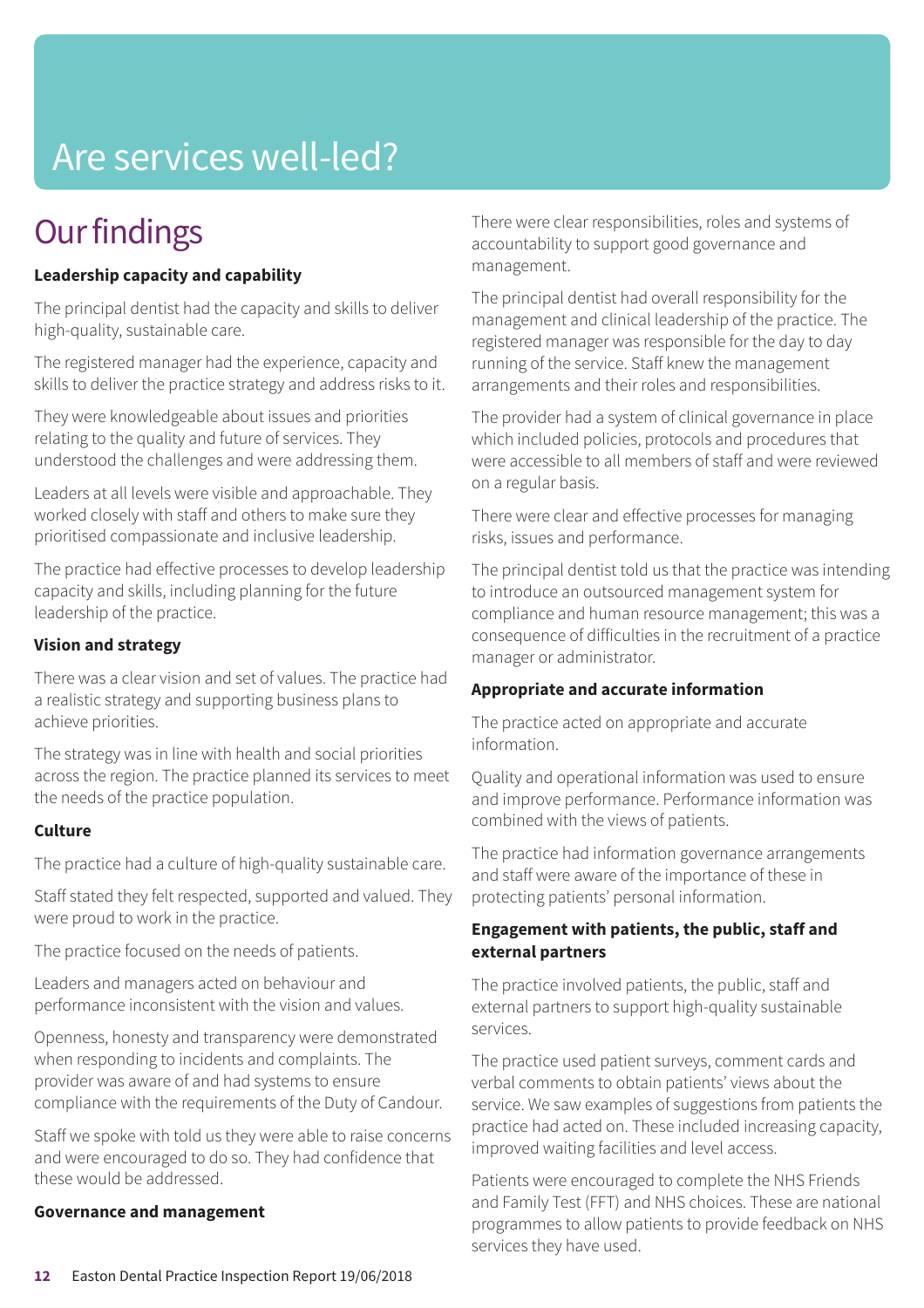# Are services well-led?

# **Our findings**

# **Leadership capacity and capability**

The principal dentist had the capacity and skills to deliver high-quality, sustainable care.

The registered manager had the experience, capacity and skills to deliver the practice strategy and address risks to it.

They were knowledgeable about issues and priorities relating to the quality and future of services. They understood the challenges and were addressing them.

Leaders at all levels were visible and approachable. They worked closely with staff and others to make sure they prioritised compassionate and inclusive leadership.

The practice had effective processes to develop leadership capacity and skills, including planning for the future leadership of the practice.

### **Vision and strategy**

There was a clear vision and set of values. The practice had a realistic strategy and supporting business plans to achieve priorities.

The strategy was in line with health and social priorities across the region. The practice planned its services to meet the needs of the practice population.

### **Culture**

The practice had a culture of high-quality sustainable care.

Staff stated they felt respected, supported and valued. They were proud to work in the practice.

The practice focused on the needs of patients.

Leaders and managers acted on behaviour and performance inconsistent with the vision and values.

Openness, honesty and transparency were demonstrated when responding to incidents and complaints. The provider was aware of and had systems to ensure compliance with the requirements of the Duty of Candour.

Staff we spoke with told us they were able to raise concerns and were encouraged to do so. They had confidence that these would be addressed.

### **Governance and management**

There were clear responsibilities, roles and systems of accountability to support good governance and management.

The principal dentist had overall responsibility for the management and clinical leadership of the practice. The registered manager was responsible for the day to day running of the service. Staff knew the management arrangements and their roles and responsibilities.

The provider had a system of clinical governance in place which included policies, protocols and procedures that were accessible to all members of staff and were reviewed on a regular basis.

There were clear and effective processes for managing risks, issues and performance.

The principal dentist told us that the practice was intending to introduce an outsourced management system for compliance and human resource management; this was a consequence of difficulties in the recruitment of a practice manager or administrator.

### **Appropriate and accurate information**

The practice acted on appropriate and accurate information.

Quality and operational information was used to ensure and improve performance. Performance information was combined with the views of patients.

The practice had information governance arrangements and staff were aware of the importance of these in protecting patients' personal information.

### **Engagement with patients, the public, staff and external partners**

The practice involved patients, the public, staff and external partners to support high-quality sustainable services.

The practice used patient surveys, comment cards and verbal comments to obtain patients' views about the service. We saw examples of suggestions from patients the practice had acted on. These included increasing capacity, improved waiting facilities and level access.

Patients were encouraged to complete the NHS Friends and Family Test (FFT) and NHS choices. These are national programmes to allow patients to provide feedback on NHS services they have used.